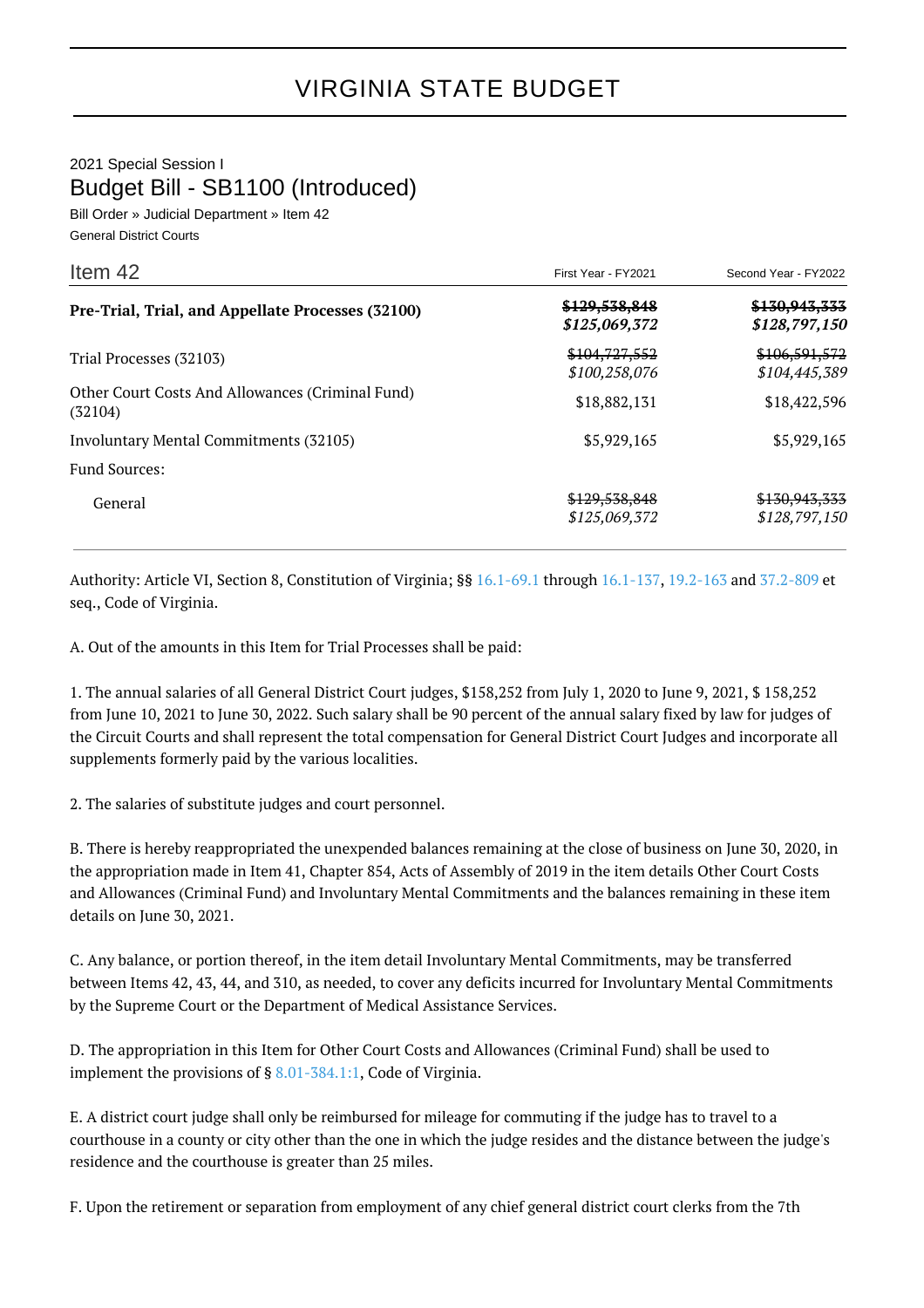## 2021 Special Session I Budget Bill - SB1100 (Introduced)

Bill Order » Judicial Department » Item 42 General District Courts

| Item $42$                                                   | First Year - FY2021            | Second Year - FY2022                      |
|-------------------------------------------------------------|--------------------------------|-------------------------------------------|
| Pre-Trial, Trial, and Appellate Processes (32100)           | \$129,538,848<br>\$125,069,372 | \$130,943,333<br>\$128,797,150            |
| Trial Processes (32103)                                     | \$104,727,552<br>\$100,258,076 | \$106,591,572<br>\$104,445,389            |
| Other Court Costs And Allowances (Criminal Fund)<br>(32104) | \$18,882,131                   | \$18,422,596                              |
| Involuntary Mental Commitments (32105)                      | \$5,929,165                    | \$5,929,165                               |
| <b>Fund Sources:</b>                                        |                                |                                           |
| General                                                     | \$129,538,848<br>\$125,069,372 | <del>\$130.943.333</del><br>\$128,797,150 |

Authority: Article VI, Section 8, Constitution of Virginia; §§ [16.1-69.1](http://law.lis.virginia.gov/vacode/16.1-69.1/) through [16.1-137](http://law.lis.virginia.gov/vacode/16.1-137/), [19.2-163](http://law.lis.virginia.gov/vacode/19.2-163/) and [37.2-809](http://law.lis.virginia.gov/vacode/37.2-809/) et seq., Code of Virginia.

A. Out of the amounts in this Item for Trial Processes shall be paid:

1. The annual salaries of all General District Court judges, \$158,252 from July 1, 2020 to June 9, 2021, \$ 158,252 from June 10, 2021 to June 30, 2022. Such salary shall be 90 percent of the annual salary fixed by law for judges of the Circuit Courts and shall represent the total compensation for General District Court Judges and incorporate all supplements formerly paid by the various localities.

2. The salaries of substitute judges and court personnel.

B. There is hereby reappropriated the unexpended balances remaining at the close of business on June 30, 2020, in the appropriation made in Item 41, Chapter 854, Acts of Assembly of 2019 in the item details Other Court Costs and Allowances (Criminal Fund) and Involuntary Mental Commitments and the balances remaining in these item details on June 30, 2021.

C. Any balance, or portion thereof, in the item detail Involuntary Mental Commitments, may be transferred between Items 42, 43, 44, and 310, as needed, to cover any deficits incurred for Involuntary Mental Commitments by the Supreme Court or the Department of Medical Assistance Services.

D. The appropriation in this Item for Other Court Costs and Allowances (Criminal Fund) shall be used to implement the provisions of § [8.01-384.1:1,](http://law.lis.virginia.gov/vacode/8.01-384.1:1/) Code of Virginia.

E. A district court judge shall only be reimbursed for mileage for commuting if the judge has to travel to a courthouse in a county or city other than the one in which the judge resides and the distance between the judge's residence and the courthouse is greater than 25 miles.

F. Upon the retirement or separation from employment of any chief general district court clerks from the 7th